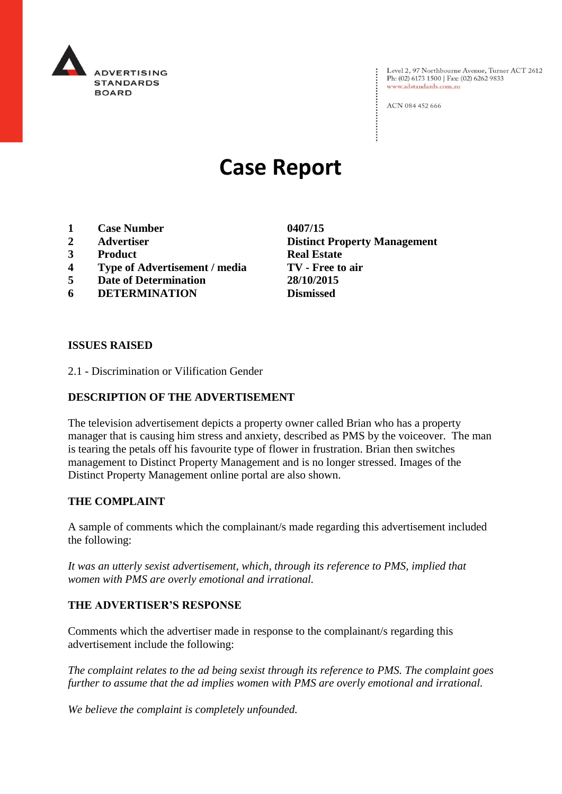

Level 2, 97 Northbourne Avenue, Turner ACT 2612<br>Ph: (02) 6173 1500 | Fax: (02) 6262 9833 www.adstandards.com.au

ACN 084 452 666

# **Case Report**

- **1 Case Number 0407/15**
- 
- **3 Product Real Estate**
- **4 Type of Advertisement / media TV - Free to air**
- **5 Date of Determination 28/10/2015**
- **6 DETERMINATION Dismissed**

**2 Advertiser Distinct Property Management**

#### **ISSUES RAISED**

2.1 - Discrimination or Vilification Gender

## **DESCRIPTION OF THE ADVERTISEMENT**

The television advertisement depicts a property owner called Brian who has a property manager that is causing him stress and anxiety, described as PMS by the voiceover. The man is tearing the petals off his favourite type of flower in frustration. Brian then switches management to Distinct Property Management and is no longer stressed. Images of the Distinct Property Management online portal are also shown.

### **THE COMPLAINT**

A sample of comments which the complainant/s made regarding this advertisement included the following:

*It was an utterly sexist advertisement, which, through its reference to PMS, implied that women with PMS are overly emotional and irrational.*

## **THE ADVERTISER'S RESPONSE**

Comments which the advertiser made in response to the complainant/s regarding this advertisement include the following:

*The complaint relates to the ad being sexist through its reference to PMS. The complaint goes further to assume that the ad implies women with PMS are overly emotional and irrational.*

*We believe the complaint is completely unfounded.*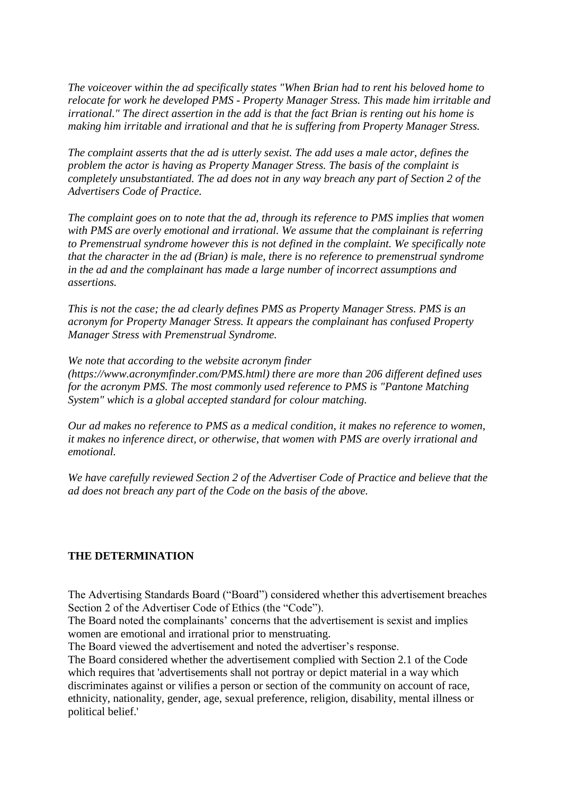*The voiceover within the ad specifically states "When Brian had to rent his beloved home to relocate for work he developed PMS - Property Manager Stress. This made him irritable and irrational." The direct assertion in the add is that the fact Brian is renting out his home is making him irritable and irrational and that he is suffering from Property Manager Stress.*

*The complaint asserts that the ad is utterly sexist. The add uses a male actor, defines the problem the actor is having as Property Manager Stress. The basis of the complaint is completely unsubstantiated. The ad does not in any way breach any part of Section 2 of the Advertisers Code of Practice.*

*The complaint goes on to note that the ad, through its reference to PMS implies that women with PMS are overly emotional and irrational. We assume that the complainant is referring to Premenstrual syndrome however this is not defined in the complaint. We specifically note that the character in the ad (Brian) is male, there is no reference to premenstrual syndrome in the ad and the complainant has made a large number of incorrect assumptions and assertions.*

*This is not the case; the ad clearly defines PMS as Property Manager Stress. PMS is an acronym for Property Manager Stress. It appears the complainant has confused Property Manager Stress with Premenstrual Syndrome.*

*We note that according to the website acronym finder* 

*(https://www.acronymfinder.com/PMS.html) there are more than 206 different defined uses for the acronym PMS. The most commonly used reference to PMS is "Pantone Matching System" which is a global accepted standard for colour matching.*

*Our ad makes no reference to PMS as a medical condition, it makes no reference to women, it makes no inference direct, or otherwise, that women with PMS are overly irrational and emotional.*

*We have carefully reviewed Section 2 of the Advertiser Code of Practice and believe that the ad does not breach any part of the Code on the basis of the above.*

## **THE DETERMINATION**

The Advertising Standards Board ("Board") considered whether this advertisement breaches Section 2 of the Advertiser Code of Ethics (the "Code").

The Board noted the complainants' concerns that the advertisement is sexist and implies women are emotional and irrational prior to menstruating.

The Board viewed the advertisement and noted the advertiser's response.

The Board considered whether the advertisement complied with Section 2.1 of the Code which requires that 'advertisements shall not portray or depict material in a way which discriminates against or vilifies a person or section of the community on account of race, ethnicity, nationality, gender, age, sexual preference, religion, disability, mental illness or political belief.'